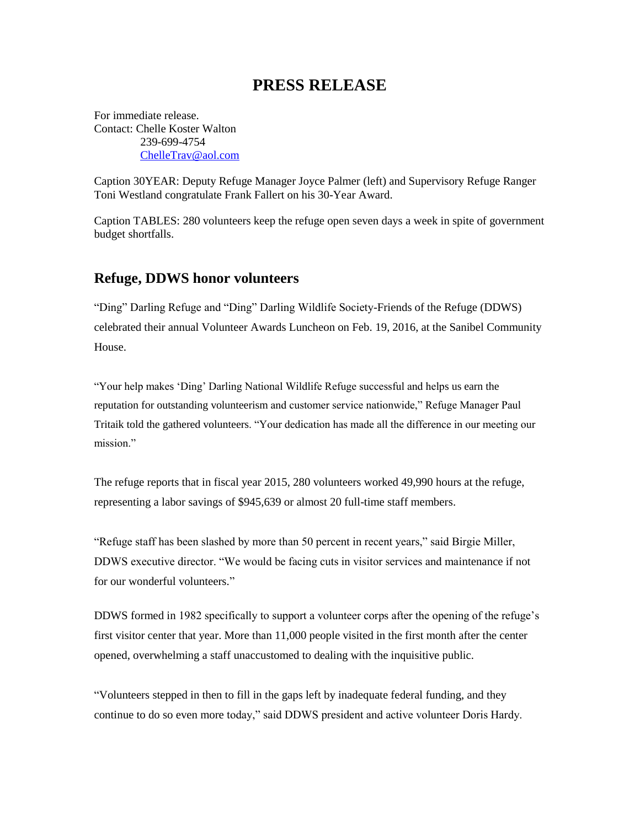## **PRESS RELEASE**

For immediate release. Contact: Chelle Koster Walton 239-699-4754 [ChelleTrav@aol.com](mailto:ChelleTrav@aol.com)

Caption 30YEAR: Deputy Refuge Manager Joyce Palmer (left) and Supervisory Refuge Ranger Toni Westland congratulate Frank Fallert on his 30-Year Award.

Caption TABLES: 280 volunteers keep the refuge open seven days a week in spite of government budget shortfalls.

## **Refuge, DDWS honor volunteers**

"Ding" Darling Refuge and "Ding" Darling Wildlife Society-Friends of the Refuge (DDWS) celebrated their annual Volunteer Awards Luncheon on Feb. 19, 2016, at the Sanibel Community House.

"Your help makes 'Ding' Darling National Wildlife Refuge successful and helps us earn the reputation for outstanding volunteerism and customer service nationwide," Refuge Manager Paul Tritaik told the gathered volunteers. "Your dedication has made all the difference in our meeting our mission."

The refuge reports that in fiscal year 2015, 280 volunteers worked 49,990 hours at the refuge, representing a labor savings of \$945,639 or almost 20 full-time staff members.

"Refuge staff has been slashed by more than 50 percent in recent years," said Birgie Miller, DDWS executive director. "We would be facing cuts in visitor services and maintenance if not for our wonderful volunteers."

DDWS formed in 1982 specifically to support a volunteer corps after the opening of the refuge's first visitor center that year. More than 11,000 people visited in the first month after the center opened, overwhelming a staff unaccustomed to dealing with the inquisitive public.

"Volunteers stepped in then to fill in the gaps left by inadequate federal funding, and they continue to do so even more today," said DDWS president and active volunteer Doris Hardy.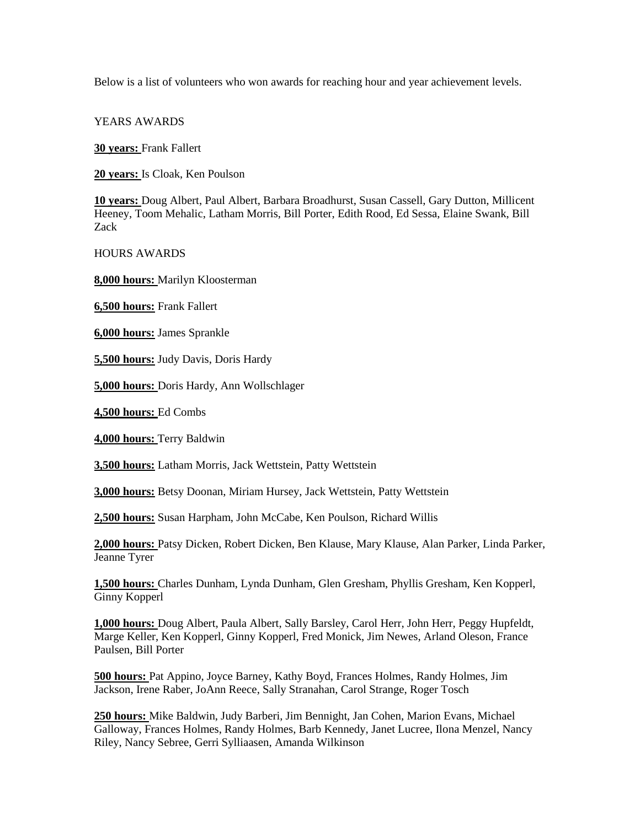Below is a list of volunteers who won awards for reaching hour and year achievement levels.

YEARS AWARDS

**30 years:** Frank Fallert

**20 years:** Is Cloak, Ken Poulson

**10 years:** Doug Albert, Paul Albert, Barbara Broadhurst, Susan Cassell, Gary Dutton, Millicent Heeney, Toom Mehalic, Latham Morris, Bill Porter, Edith Rood, Ed Sessa, Elaine Swank, Bill Zack

HOURS AWARDS

**8,000 hours:** Marilyn Kloosterman

**6,500 hours:** Frank Fallert

**6,000 hours:** James Sprankle

**5,500 hours:** Judy Davis, Doris Hardy

**5,000 hours:** Doris Hardy, Ann Wollschlager

**4,500 hours:** Ed Combs

**4,000 hours:** Terry Baldwin

**3,500 hours:** Latham Morris, Jack Wettstein, Patty Wettstein

**3,000 hours:** Betsy Doonan, Miriam Hursey, Jack Wettstein, Patty Wettstein

**2,500 hours:** Susan Harpham, John McCabe, Ken Poulson, Richard Willis

**2,000 hours:** Patsy Dicken, Robert Dicken, Ben Klause, Mary Klause, Alan Parker, Linda Parker, Jeanne Tyrer

**1,500 hours:** Charles Dunham, Lynda Dunham, Glen Gresham, Phyllis Gresham, Ken Kopperl, Ginny Kopperl

**1,000 hours:** Doug Albert, Paula Albert, Sally Barsley, Carol Herr, John Herr, Peggy Hupfeldt, Marge Keller, Ken Kopperl, Ginny Kopperl, Fred Monick, Jim Newes, Arland Oleson, France Paulsen, Bill Porter

**500 hours:** Pat Appino, Joyce Barney, Kathy Boyd, Frances Holmes, Randy Holmes, Jim Jackson, Irene Raber, JoAnn Reece, Sally Stranahan, Carol Strange, Roger Tosch

**250 hours:** Mike Baldwin, Judy Barberi, Jim Bennight, Jan Cohen, Marion Evans, Michael Galloway, Frances Holmes, Randy Holmes, Barb Kennedy, Janet Lucree, Ilona Menzel, Nancy Riley, Nancy Sebree, Gerri Sylliaasen, Amanda Wilkinson